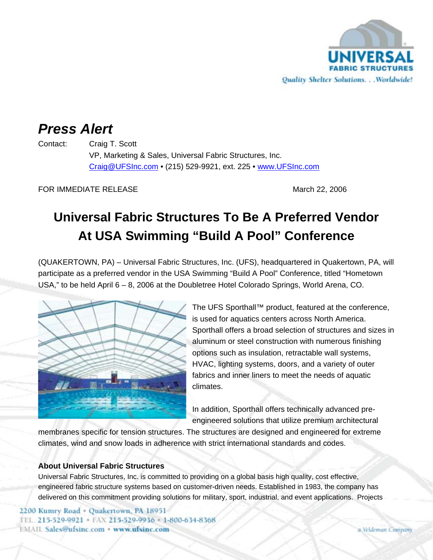

## *Press Alert*

Contact: Craig T. Scott VP, Marketing & Sales, Universal Fabric Structures, Inc. Craig@UFSInc.com • (215) 529-9921, ext. 225 • www.UFSInc.com

FOR IMMEDIATE RELEASE March 22, 2006

## **Universal Fabric Structures To Be A Preferred Vendor At USA Swimming "Build A Pool" Conference**

(QUAKERTOWN, PA) – Universal Fabric Structures, Inc. (UFS), headquartered in Quakertown, PA, will participate as a preferred vendor in the USA Swimming "Build A Pool" Conference, titled "Hometown USA," to be held April 6 – 8, 2006 at the Doubletree Hotel Colorado Springs, World Arena, CO.



The UFS Sporthall™ product, featured at the conference, is used for aquatics centers across North America. Sporthall offers a broad selection of structures and sizes in aluminum or steel construction with numerous finishing options such as insulation, retractable wall systems, HVAC, lighting systems, doors, and a variety of outer fabrics and inner liners to meet the needs of aquatic climates.

In addition, Sporthall offers technically advanced preengineered solutions that utilize premium architectural

membranes specific for tension structures. The structures are designed and engineered for extreme climates, wind and snow loads in adherence with strict international standards and codes.

## **About Universal Fabric Structures**

Universal Fabric Structures, Inc. is committed to providing on a global basis high quality, cost effective, engineered fabric structure systems based on customer-driven needs. Established in 1983, the company has delivered on this commitment providing solutions for military, sport, industrial, and event applications. Projects

2200 Kumry Road - Quakertown, PA 18951 TEL. 215-529-9921 · FAX 215-529-9936 · 1-800-634-8368 **EMAIL Sales@ufsinc.com · www.ufsinc.com**